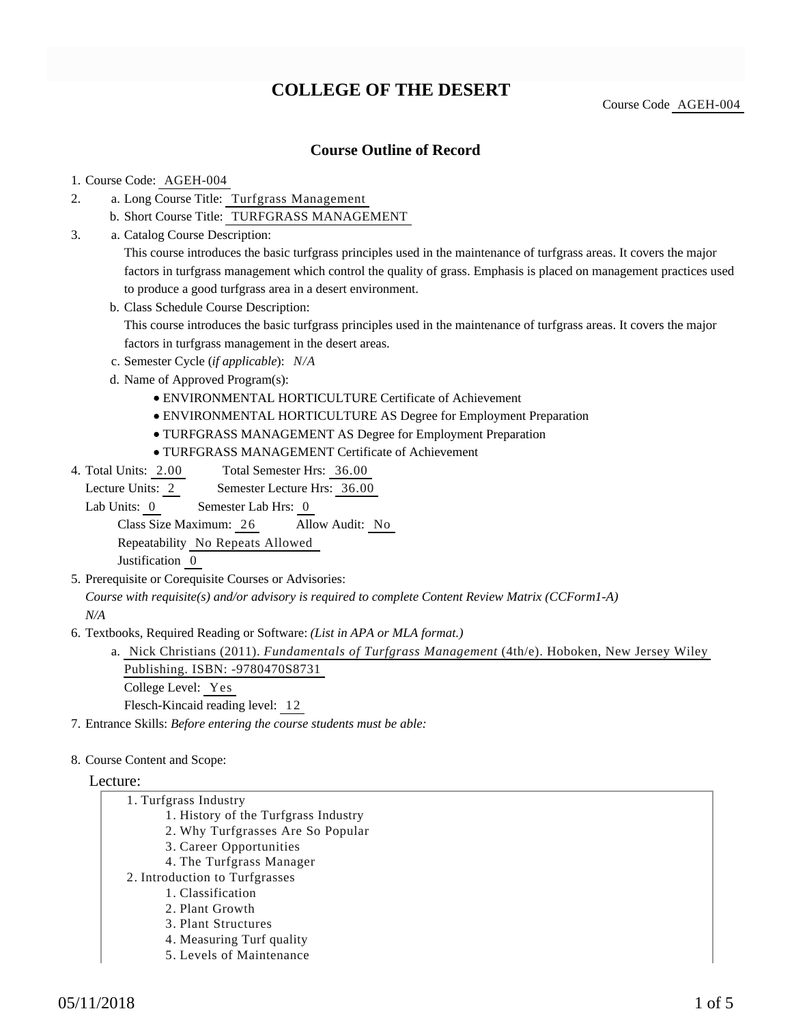# **COLLEGE OF THE DESERT**

Course Code AGEH-004

## **Course Outline of Record**

#### 1. Course Code: AGEH-004

- a. Long Course Title: Turfgrass Management 2.
	- b. Short Course Title: TURFGRASS MANAGEMENT
- Catalog Course Description: a. 3.

This course introduces the basic turfgrass principles used in the maintenance of turfgrass areas. It covers the major factors in turfgrass management which control the quality of grass. Emphasis is placed on management practices used to produce a good turfgrass area in a desert environment.

b. Class Schedule Course Description:

This course introduces the basic turfgrass principles used in the maintenance of turfgrass areas. It covers the major factors in turfgrass management in the desert areas.

- c. Semester Cycle (*if applicable*): *N/A*
- d. Name of Approved Program(s):
	- ENVIRONMENTAL HORTICULTURE Certificate of Achievement
	- ENVIRONMENTAL HORTICULTURE AS Degree for Employment Preparation
	- TURFGRASS MANAGEMENT AS Degree for Employment Preparation
	- TURFGRASS MANAGEMENT Certificate of Achievement
- Total Semester Hrs: 36.00 4. Total Units: 2.00

Lecture Units: 2 Semester Lecture Hrs: 36.00

Lab Units: 0 Semester Lab Hrs: 0

Class Size Maximum: 26 Allow Audit: No

Repeatability No Repeats Allowed

Justification 0

5. Prerequisite or Corequisite Courses or Advisories:

*Course with requisite(s) and/or advisory is required to complete Content Review Matrix (CCForm1-A) N/A*

6. Textbooks, Required Reading or Software: (List in APA or MLA format.)

a. Nick Christians (2011). *Fundamentals of Turfgrass Management* (4th/e). Hoboken, New Jersey Wiley Publishing. ISBN: -9780470S8731

College Level: Yes

Flesch-Kincaid reading level: 12

7. Entrance Skills: *Before entering the course students must be able:*

#### 8. Course Content and Scope:

#### Lecture:

- 1. Turfgrass Industry
	- 1. History of the Turfgrass Industry
	- 2. Why Turfgrasses Are So Popular
	- 3. Career Opportunities
	- 4. The Turfgrass Manager
- 2. Introduction to Turfgrasses
	- 1. Classification
	- 2. Plant Growth
	- 3. Plant Structures
	- 4. Measuring Turf quality
	- 5. Levels of Maintenance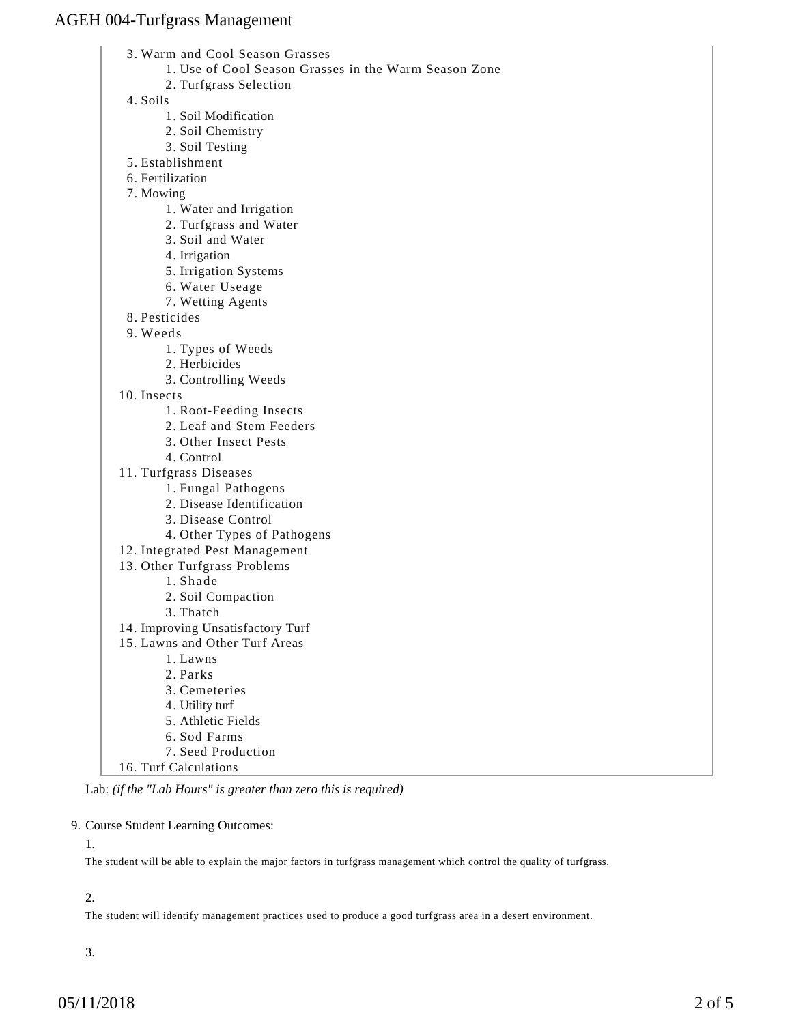Warm and Cool Season Grasses 3.

- 1. Use of Cool Season Grasses in the Warm Season Zone
- 2. Turfgrass Selection

4. Soils

- 1. Soil Modification
- 2. Soil Chemistry
- 3. Soil Testing
- 5. Establishment
- 6. Fertilization
- 7. Mowing
	- 1. Water and Irrigation
	- 2. Turfgrass and Water
	- 3. Soil and Water
	- 4. Irrigation
	- 5. Irrigation Systems
	- 6. Water Useage
	- 7. Wetting Agents
- 8. Pesticides
- Weeds 9.
	- 1. Types of Weeds
	- 2. Herbicides
	- 3. Controlling Weeds
- 10. Insects
	- 1. Root-Feeding Insects
	- 2. Leaf and Stem Feeders
	- 3. Other Insect Pests
	- 4. Control
- 11. Turfgrass Diseases
	- 1. Fungal Pathogens
	- 2. Disease Identification
	- 3. Disease Control
	- 4. Other Types of Pathogens
- 12. Integrated Pest Management
- 13. Other Turfgrass Problems
	- 1. Shade
	- 2. Soil Compaction
	- 3. Thatch
- 14. Improving Unsatisfactory Turf
- 15. Lawns and Other Turf Areas
	- 1. Lawns
	- 2. Parks
	- 3. Cemeteries
	- 4. Utility turf
	- 5. Athletic Fields
	- 6. Sod Farms
	- 7. Seed Production
- 16. Turf Calculations

Lab: *(if the "Lab Hours" is greater than zero this is required)*

#### 9. Course Student Learning Outcomes:

1.

The student will be able to explain the major factors in turfgrass management which control the quality of turfgrass.

#### 2.

The student will identify management practices used to produce a good turfgrass area in a desert environment.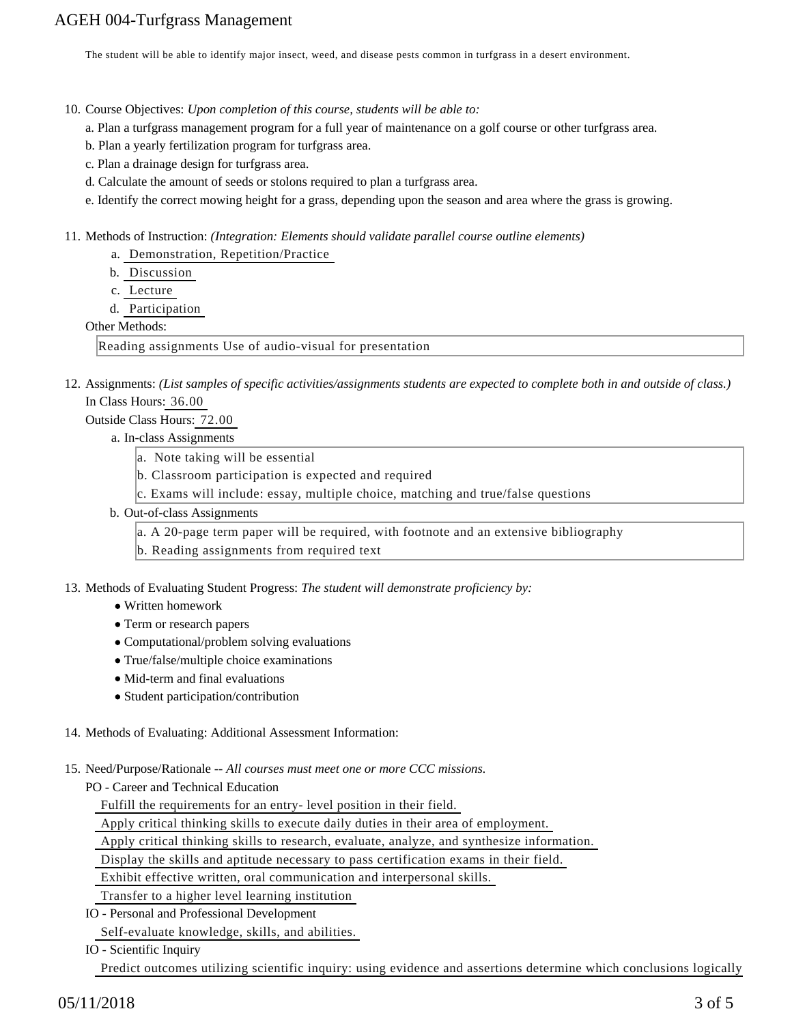The student will be able to identify major insect, weed, and disease pests common in turfgrass in a desert environment.

- 10. Course Objectives: Upon completion of this course, students will be able to:
	- a. Plan a turfgrass management program for a full year of maintenance on a golf course or other turfgrass area.
	- b. Plan a yearly fertilization program for turfgrass area.
	- c. Plan a drainage design for turfgrass area.
	- d. Calculate the amount of seeds or stolons required to plan a turfgrass area.
	- e. Identify the correct mowing height for a grass, depending upon the season and area where the grass is growing.

11. Methods of Instruction: *(Integration: Elements should validate parallel course outline elements)* 

- a. Demonstration, Repetition/Practice
- b. Discussion
- c. Lecture
- d. Participation

#### Other Methods:

Reading assignments Use of audio-visual for presentation

12. Assignments: (List samples of specific activities/assignments students are expected to complete both in and outside of class.) In Class Hours: 36.00

Outside Class Hours: 72.00

- a. In-class Assignments
	- a. Note taking will be essential
	- b. Classroom participation is expected and required
	- c. Exams will include: essay, multiple choice, matching and true/false questions
- b. Out-of-class Assignments
	- a. A 20-page term paper will be required, with footnote and an extensive bibliography
	- b. Reading assignments from required text
- 13. Methods of Evaluating Student Progress: The student will demonstrate proficiency by:
	- Written homework
	- Term or research papers
	- Computational/problem solving evaluations
	- True/false/multiple choice examinations
	- Mid-term and final evaluations
	- Student participation/contribution

#### 14. Methods of Evaluating: Additional Assessment Information:

15. Need/Purpose/Rationale -- All courses must meet one or more CCC missions.

PO - Career and Technical Education

Fulfill the requirements for an entry- level position in their field.

Apply critical thinking skills to execute daily duties in their area of employment.

Apply critical thinking skills to research, evaluate, analyze, and synthesize information.

Display the skills and aptitude necessary to pass certification exams in their field.

Exhibit effective written, oral communication and interpersonal skills.

Transfer to a higher level learning institution

IO - Personal and Professional Development

Self-evaluate knowledge, skills, and abilities.

IO - Scientific Inquiry

Predict outcomes utilizing scientific inquiry: using evidence and assertions determine which conclusions logically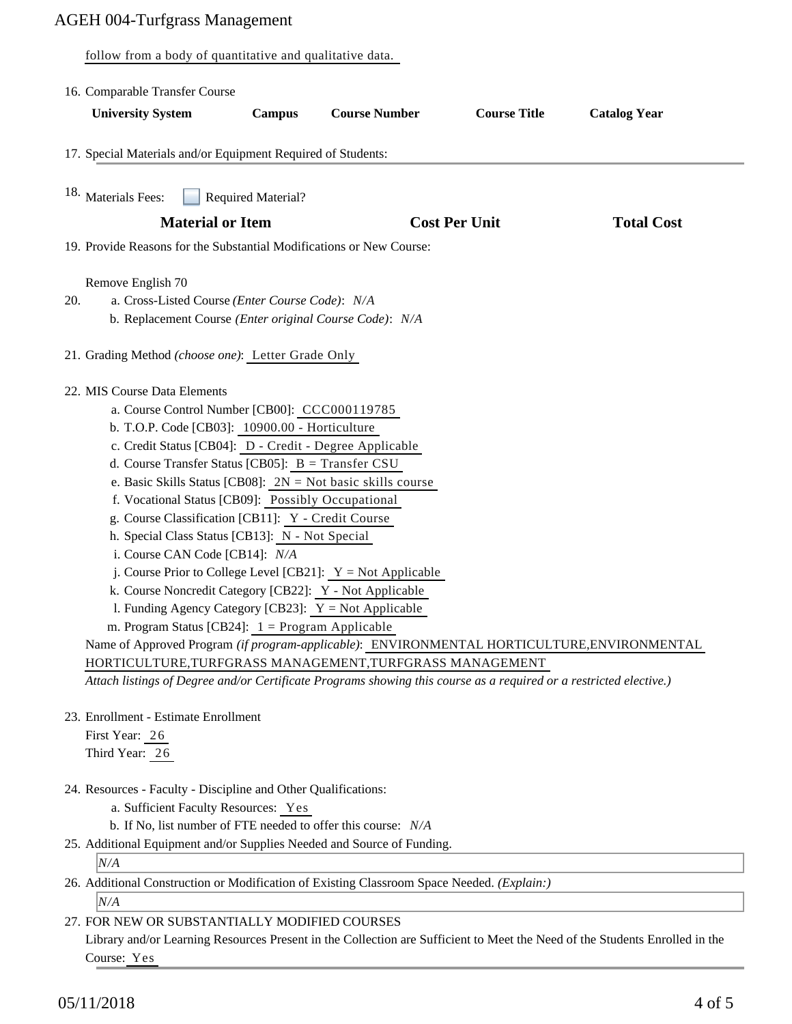follow from a body of quantitative and qualitative data.

|     | 16. Comparable Transfer Course                                                                                                                                                                                                                                                                                                                                                                                                                                                                                                                                                                                                                                                                                                                                                                                                                                                                                                                                                                                                                     |        |                      |                      |                     |  |
|-----|----------------------------------------------------------------------------------------------------------------------------------------------------------------------------------------------------------------------------------------------------------------------------------------------------------------------------------------------------------------------------------------------------------------------------------------------------------------------------------------------------------------------------------------------------------------------------------------------------------------------------------------------------------------------------------------------------------------------------------------------------------------------------------------------------------------------------------------------------------------------------------------------------------------------------------------------------------------------------------------------------------------------------------------------------|--------|----------------------|----------------------|---------------------|--|
|     | <b>University System</b>                                                                                                                                                                                                                                                                                                                                                                                                                                                                                                                                                                                                                                                                                                                                                                                                                                                                                                                                                                                                                           | Campus | <b>Course Number</b> | <b>Course Title</b>  | <b>Catalog Year</b> |  |
|     | 17. Special Materials and/or Equipment Required of Students:                                                                                                                                                                                                                                                                                                                                                                                                                                                                                                                                                                                                                                                                                                                                                                                                                                                                                                                                                                                       |        |                      |                      |                     |  |
|     | <sup>18.</sup> Materials Fees:<br><b>Required Material?</b>                                                                                                                                                                                                                                                                                                                                                                                                                                                                                                                                                                                                                                                                                                                                                                                                                                                                                                                                                                                        |        |                      |                      |                     |  |
|     | <b>Material or Item</b>                                                                                                                                                                                                                                                                                                                                                                                                                                                                                                                                                                                                                                                                                                                                                                                                                                                                                                                                                                                                                            |        |                      | <b>Cost Per Unit</b> | <b>Total Cost</b>   |  |
|     | 19. Provide Reasons for the Substantial Modifications or New Course:                                                                                                                                                                                                                                                                                                                                                                                                                                                                                                                                                                                                                                                                                                                                                                                                                                                                                                                                                                               |        |                      |                      |                     |  |
| 20. | Remove English 70<br>a. Cross-Listed Course (Enter Course Code): N/A<br>b. Replacement Course (Enter original Course Code): N/A                                                                                                                                                                                                                                                                                                                                                                                                                                                                                                                                                                                                                                                                                                                                                                                                                                                                                                                    |        |                      |                      |                     |  |
|     | 21. Grading Method (choose one): Letter Grade Only                                                                                                                                                                                                                                                                                                                                                                                                                                                                                                                                                                                                                                                                                                                                                                                                                                                                                                                                                                                                 |        |                      |                      |                     |  |
|     | 22. MIS Course Data Elements<br>a. Course Control Number [CB00]: CCC000119785<br>b. T.O.P. Code [CB03]: 10900.00 - Horticulture<br>c. Credit Status [CB04]: D - Credit - Degree Applicable<br>d. Course Transfer Status [CB05]: $B = Transfer CSU$<br>e. Basic Skills Status [CB08]: $2N = Not basic skills course$<br>f. Vocational Status [CB09]: Possibly Occupational<br>g. Course Classification [CB11]: Y - Credit Course<br>h. Special Class Status [CB13]: N - Not Special<br>i. Course CAN Code [CB14]: N/A<br>j. Course Prior to College Level [CB21]: $Y = Not$ Applicable<br>k. Course Noncredit Category [CB22]: Y - Not Applicable<br>1. Funding Agency Category [CB23]: $Y = Not$ Applicable<br>m. Program Status [CB24]: $1 =$ Program Applicable<br>Name of Approved Program (if program-applicable): ENVIRONMENTAL HORTICULTURE, ENVIRONMENTAL<br>HORTICULTURE, TURFGRASS MANAGEMENT, TURFGRASS MANAGEMENT<br>Attach listings of Degree and/or Certificate Programs showing this course as a required or a restricted elective.) |        |                      |                      |                     |  |
|     | 23. Enrollment - Estimate Enrollment                                                                                                                                                                                                                                                                                                                                                                                                                                                                                                                                                                                                                                                                                                                                                                                                                                                                                                                                                                                                               |        |                      |                      |                     |  |
|     | First Year: 26<br>Third Year: 26                                                                                                                                                                                                                                                                                                                                                                                                                                                                                                                                                                                                                                                                                                                                                                                                                                                                                                                                                                                                                   |        |                      |                      |                     |  |
|     | 24. Resources - Faculty - Discipline and Other Qualifications:<br>a. Sufficient Faculty Resources: Yes<br>b. If No, list number of FTE needed to offer this course: N/A                                                                                                                                                                                                                                                                                                                                                                                                                                                                                                                                                                                                                                                                                                                                                                                                                                                                            |        |                      |                      |                     |  |
|     |                                                                                                                                                                                                                                                                                                                                                                                                                                                                                                                                                                                                                                                                                                                                                                                                                                                                                                                                                                                                                                                    |        |                      |                      |                     |  |
|     |                                                                                                                                                                                                                                                                                                                                                                                                                                                                                                                                                                                                                                                                                                                                                                                                                                                                                                                                                                                                                                                    |        |                      |                      |                     |  |
|     | 25. Additional Equipment and/or Supplies Needed and Source of Funding.<br>N/A                                                                                                                                                                                                                                                                                                                                                                                                                                                                                                                                                                                                                                                                                                                                                                                                                                                                                                                                                                      |        |                      |                      |                     |  |
|     | 26. Additional Construction or Modification of Existing Classroom Space Needed. (Explain:)                                                                                                                                                                                                                                                                                                                                                                                                                                                                                                                                                                                                                                                                                                                                                                                                                                                                                                                                                         |        |                      |                      |                     |  |
|     | N/A                                                                                                                                                                                                                                                                                                                                                                                                                                                                                                                                                                                                                                                                                                                                                                                                                                                                                                                                                                                                                                                |        |                      |                      |                     |  |
|     | 27. FOR NEW OR SUBSTANTIALLY MODIFIED COURSES                                                                                                                                                                                                                                                                                                                                                                                                                                                                                                                                                                                                                                                                                                                                                                                                                                                                                                                                                                                                      |        |                      |                      |                     |  |

Library and/or Learning Resources Present in the Collection are Sufficient to Meet the Need of the Students Enrolled in the Course: Yes